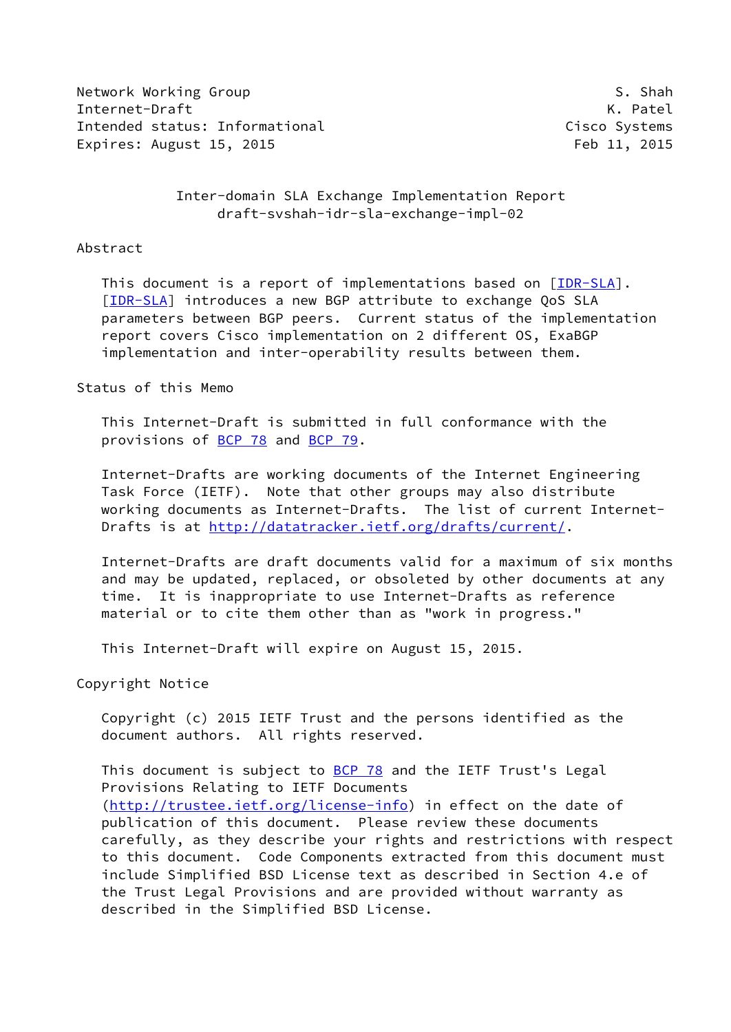Network Working Group States and the States of States of States and States and States of States and States and Internet-Draft K. Patel Intended status: Informational Cisco Systems Expires: August 15, 2015 **Feb 11, 2015** 

 Inter-domain SLA Exchange Implementation Report draft-svshah-idr-sla-exchange-impl-02

## Abstract

This document is a report of implementations based on [[IDR-SLA](#page-5-0)]. [\[IDR-SLA](#page-5-0)] introduces a new BGP attribute to exchange QoS SLA parameters between BGP peers. Current status of the implementation report covers Cisco implementation on 2 different OS, ExaBGP implementation and inter-operability results between them.

## Status of this Memo

 This Internet-Draft is submitted in full conformance with the provisions of [BCP 78](https://datatracker.ietf.org/doc/pdf/bcp78) and [BCP 79](https://datatracker.ietf.org/doc/pdf/bcp79).

 Internet-Drafts are working documents of the Internet Engineering Task Force (IETF). Note that other groups may also distribute working documents as Internet-Drafts. The list of current Internet- Drafts is at<http://datatracker.ietf.org/drafts/current/>.

 Internet-Drafts are draft documents valid for a maximum of six months and may be updated, replaced, or obsoleted by other documents at any time. It is inappropriate to use Internet-Drafts as reference material or to cite them other than as "work in progress."

This Internet-Draft will expire on August 15, 2015.

Copyright Notice

 Copyright (c) 2015 IETF Trust and the persons identified as the document authors. All rights reserved.

This document is subject to **[BCP 78](https://datatracker.ietf.org/doc/pdf/bcp78)** and the IETF Trust's Legal Provisions Relating to IETF Documents [\(http://trustee.ietf.org/license-info](http://trustee.ietf.org/license-info)) in effect on the date of publication of this document. Please review these documents carefully, as they describe your rights and restrictions with respect to this document. Code Components extracted from this document must include Simplified BSD License text as described in Section 4.e of the Trust Legal Provisions and are provided without warranty as described in the Simplified BSD License.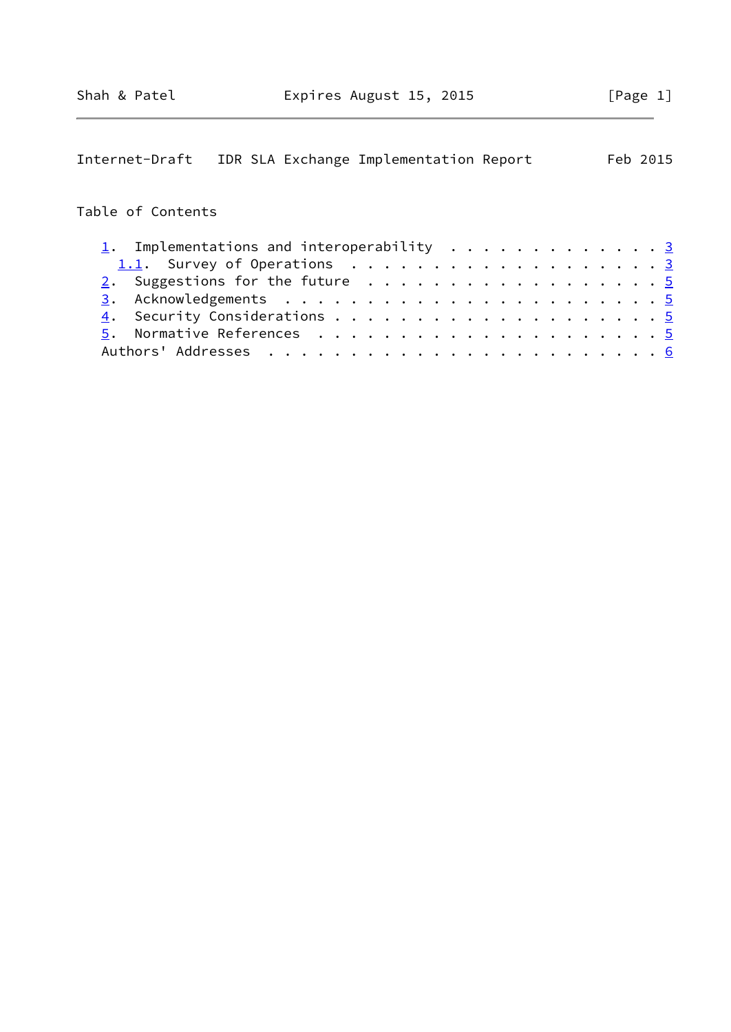| Internet-Draft IDR SLA Exchange Implementation Report | Feb 2015 |
|-------------------------------------------------------|----------|
| Table of Contents                                     |          |
|                                                       |          |
| 1.1. Survey of Operations 3                           |          |
|                                                       |          |
|                                                       |          |
|                                                       |          |
|                                                       |          |
|                                                       |          |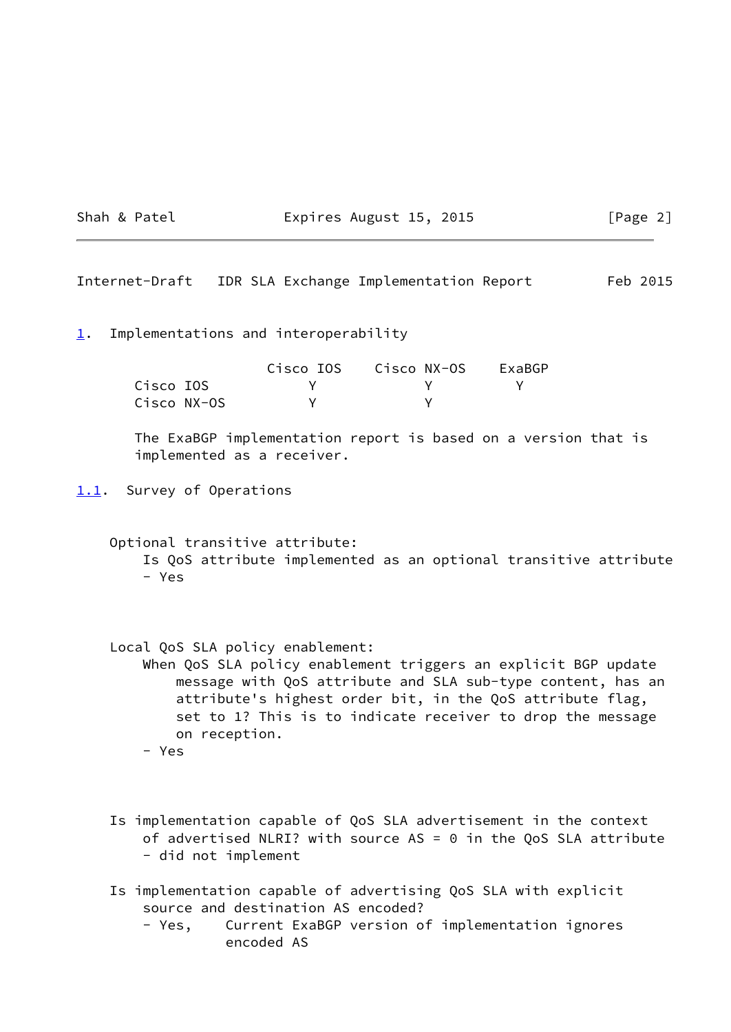Shah & Patel **Expires August 15, 2015** [Page 2]

<span id="page-2-1"></span>Internet-Draft IDR SLA Exchange Implementation Report Feb 2015

<span id="page-2-0"></span>[1](#page-2-0). Implementations and interoperability

|             | Cisco IOS Cisco NX-OS | ExaBGP |
|-------------|-----------------------|--------|
| Cisco IOS   |                       |        |
| Cisco NX-OS |                       |        |

 The ExaBGP implementation report is based on a version that is implemented as a receiver.

<span id="page-2-2"></span>[1.1](#page-2-2). Survey of Operations

 Optional transitive attribute: Is QoS attribute implemented as an optional transitive attribute - Yes

Local QoS SLA policy enablement:

 When QoS SLA policy enablement triggers an explicit BGP update message with QoS attribute and SLA sub-type content, has an attribute's highest order bit, in the QoS attribute flag, set to 1? This is to indicate receiver to drop the message on reception.

- Yes
- Is implementation capable of QoS SLA advertisement in the context of advertised NLRI? with source AS =  $0$  in the QoS SLA attribute - did not implement
- Is implementation capable of advertising QoS SLA with explicit source and destination AS encoded?
	- Yes, Current ExaBGP version of implementation ignores encoded AS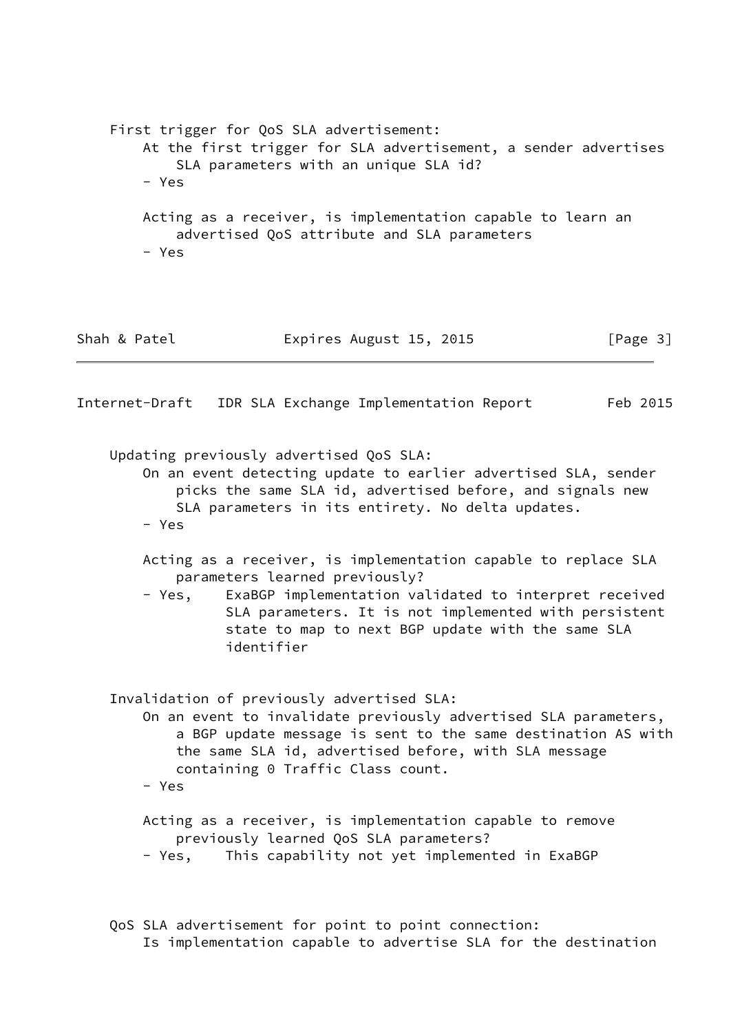```
 First trigger for QoS SLA advertisement:
At the first trigger for SLA advertisement, a sender advertises
    SLA parameters with an unique SLA id?
- Yes
Acting as a receiver, is implementation capable to learn an
    advertised QoS attribute and SLA parameters
- Yes
```

| Shah & Patel<br>Expires August 15, 2015 | [Page 3] |
|-----------------------------------------|----------|
|-----------------------------------------|----------|

Internet-Draft IDR SLA Exchange Implementation Report Feb 2015

Updating previously advertised QoS SLA:

 On an event detecting update to earlier advertised SLA, sender picks the same SLA id, advertised before, and signals new SLA parameters in its entirety. No delta updates. - Yes

 Acting as a receiver, is implementation capable to replace SLA parameters learned previously?

 - Yes, ExaBGP implementation validated to interpret received SLA parameters. It is not implemented with persistent state to map to next BGP update with the same SLA identifier

Invalidation of previously advertised SLA:

 On an event to invalidate previously advertised SLA parameters, a BGP update message is sent to the same destination AS with the same SLA id, advertised before, with SLA message containing 0 Traffic Class count.

```
 - Yes
```
 Acting as a receiver, is implementation capable to remove previously learned QoS SLA parameters? - Yes, This capability not yet implemented in ExaBGP

 QoS SLA advertisement for point to point connection: Is implementation capable to advertise SLA for the destination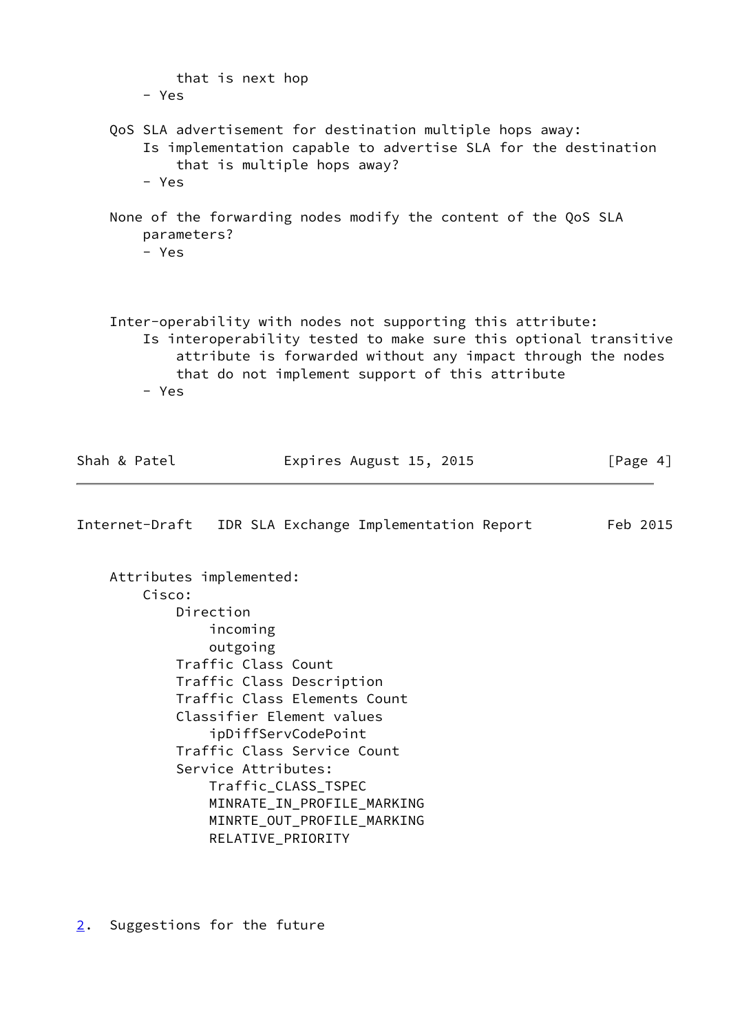that is next hop - Yes QoS SLA advertisement for destination multiple hops away: Is implementation capable to advertise SLA for the destination that is multiple hops away? - Yes None of the forwarding nodes modify the content of the QoS SLA parameters? - Yes Inter-operability with nodes not supporting this attribute: Is interoperability tested to make sure this optional transitive attribute is forwarded without any impact through the nodes that do not implement support of this attribute - Yes

| Shah & Patel<br>Expires August 15, 2015 | [Page 4] |
|-----------------------------------------|----------|
|-----------------------------------------|----------|

<span id="page-4-1"></span>Internet-Draft IDR SLA Exchange Implementation Report Feb 2015

 Attributes implemented: Cisco: Direction incoming outgoing Traffic Class Count Traffic Class Description Traffic Class Elements Count Classifier Element values ipDiffServCodePoint Traffic Class Service Count Service Attributes: Traffic\_CLASS\_TSPEC MINRATE\_IN\_PROFILE\_MARKING MINRTE\_OUT\_PROFILE\_MARKING RELATIVE\_PRIORITY

<span id="page-4-0"></span>[2](#page-4-0). Suggestions for the future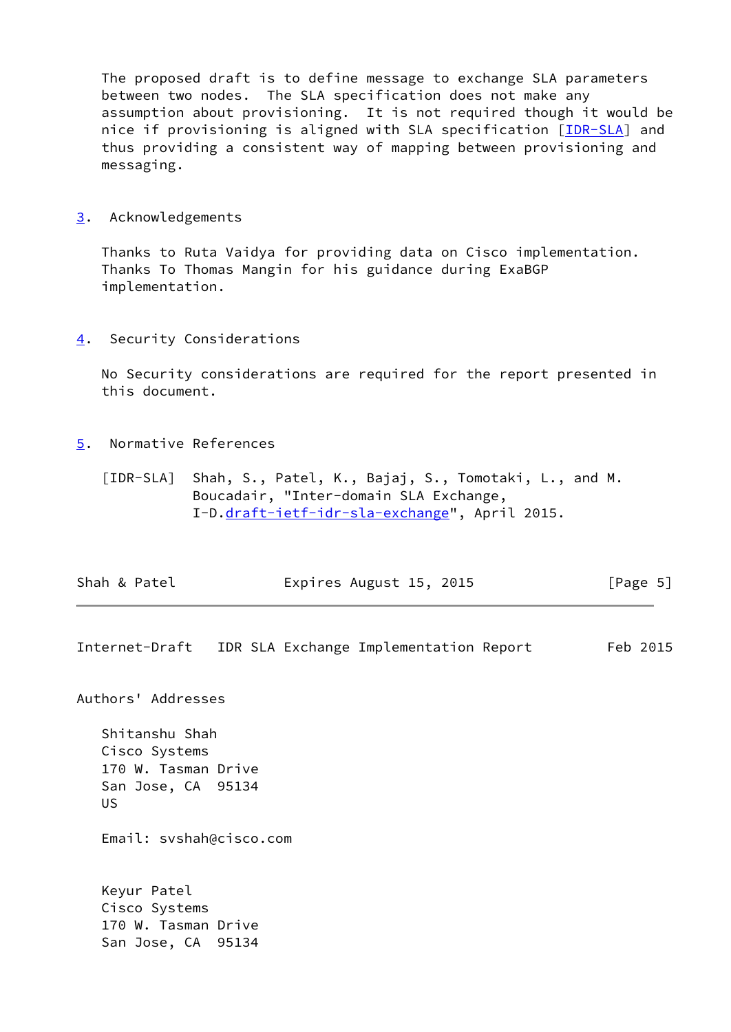The proposed draft is to define message to exchange SLA parameters between two nodes. The SLA specification does not make any assumption about provisioning. It is not required though it would be nice if provisioning is aligned with SLA specification [\[IDR-SLA](#page-5-0)] and thus providing a consistent way of mapping between provisioning and messaging.

<span id="page-5-1"></span>[3](#page-5-1). Acknowledgements

 Thanks to Ruta Vaidya for providing data on Cisco implementation. Thanks To Thomas Mangin for his guidance during ExaBGP implementation.

<span id="page-5-2"></span>[4](#page-5-2). Security Considerations

 No Security considerations are required for the report presented in this document.

- <span id="page-5-3"></span><span id="page-5-0"></span>[5](#page-5-3). Normative References
	- [IDR-SLA] Shah, S., Patel, K., Bajaj, S., Tomotaki, L., and M. Boucadair, "Inter-domain SLA Exchange, I-D.[draft-ietf-idr-sla-exchange](https://datatracker.ietf.org/doc/pdf/draft-ietf-idr-sla-exchange)", April 2015.

| Shah & Patel | Expires August 15, 2015 | [Page 5] |
|--------------|-------------------------|----------|
|--------------|-------------------------|----------|

<span id="page-5-4"></span>Internet-Draft IDR SLA Exchange Implementation Report Feb 2015

Authors' Addresses

 Shitanshu Shah Cisco Systems 170 W. Tasman Drive San Jose, CA 95134 US

Email: svshah@cisco.com

 Keyur Patel Cisco Systems 170 W. Tasman Drive San Jose, CA 95134